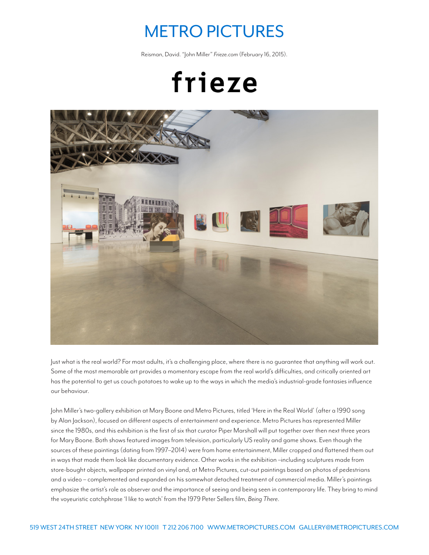## METRO PICTURES

Reisman, David. "John Miller" *Frieze.com* (February 16, 2015).

frieze



Just what is the real world? For most adults, it's a challenging place, where there is no guarantee that anything will work out. Some of the most memorable art provides a momentary escape from the real world's difficulties, and critically oriented art has the potential to get us couch potatoes to wake up to the ways in which the media's industrial-grade fantasies influence our behaviour.

John Miller's two-gallery exhibition at Mary Boone and Metro Pictures, titled 'Here in the Real World' (after a 1990 song by Alan Jackson), focused on different aspects of entertainment and experience. Metro Pictures has represented Miller since the 1980s, and this exhibition is the first of six that curator Piper Marshall will put together over then next three years for Mary Boone. Both shows featured images from television, particularly US reality and game shows. Even though the sources of these paintings (dating from 1997–2014) were from home entertainment, Miller cropped and flattened them out in ways that made them look like documentary evidence. Other works in the exhibition –including sculptures made from store-bought objects, wallpaper printed on vinyl and, at Metro Pictures, cut-out paintings based on photos of pedestrians and a video – complemented and expanded on his somewhat detached treatment of commercial media. Miller's paintings emphasize the artist's role as observer and the importance of seeing and being seen in contemporary life. They bring to mind the voyeuristic catchphrase 'I like to watch' from the 1979 Peter Sellers film, *Being There*.